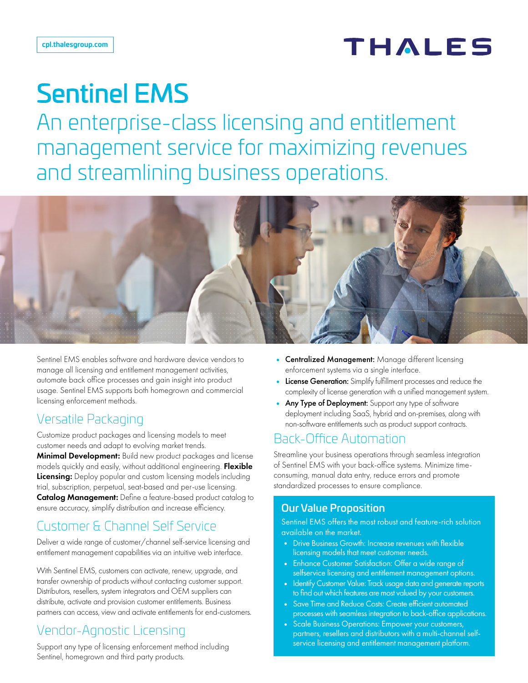## **THALES**

# Sentinel EMS

An enterprise-class licensing and entitlement management service for maximizing revenues and streamlining business operations.



Sentinel EMS enables software and hardware device vendors to manage all licensing and entitlement management activities, automate back office processes and gain insight into product usage. Sentinel EMS supports both homegrown and commercial licensing enforcement methods.

#### Versatile Packaging

Customize product packages and licensing models to meet customer needs and adapt to evolving market trends. **Minimal Development:** Build new product packages and license models quickly and easily, without additional engineering. Flexible **Licensing:** Deploy popular and custom licensing models including trial, subscription, perpetual, seat-based and per-use licensing. Catalog Management: Define a feature-based product catalog to ensure accuracy, simplify distribution and increase efficiency.

## Customer & Channel Self Service

Deliver a wide range of customer/channel self-service licensing and entitlement management capabilities via an intuitive web interface.

With Sentinel EMS, customers can activate, renew, upgrade, and transfer ownership of products without contacting customer support. Distributors, resellers, system integrators and OEM suppliers can distribute, activate and provision customer entitlements. Business partners can access, view and activate entitlements for end-customers.

### Vendor-Agnostic Licensing

Support any type of licensing enforcement method including Sentinel, homegrown and third party products.

- Centralized Management: Manage different licensing enforcement systems via a single interface.
- License Generation: Simplify fulfillment processes and reduce the complexity of license generation with a unified management system.
- Any Type of Deployment: Support any type of software deployment including SaaS, hybrid and on-premises, along with non-software entitlements such as product support contracts.

#### Back-Office Automation

Streamline your business operations through seamless integration of Sentinel EMS with your back-office systems. Minimize timeconsuming, manual data entry, reduce errors and promote standardized processes to ensure compliance.

#### Our Value Proposition

Sentinel EMS offers the most robust and feature-rich solution available on the market.

- Drive Business Growth: Increase revenues with flexible licensing models that meet customer needs.
- Enhance Customer Satisfaction: Offer a wide range of selfservice licensing and entitlement management options.
- Identify Customer Value: Track usage data and generate reports to find out which features are most valued by your customers.
- Save Time and Reduce Costs: Create efficient automated processes with seamless integration to back-office applications.
- Scale Business Operations: Empower your customers, partners, resellers and distributors with a multi-channel selfservice licensing and entitlement management platform.